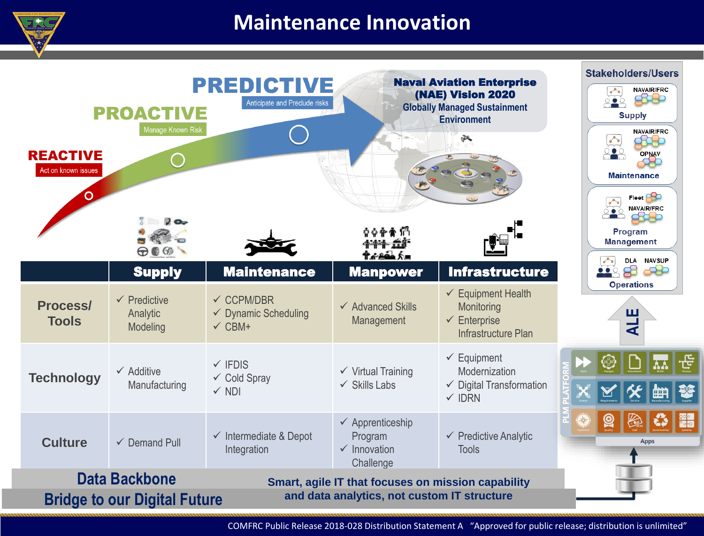

# **Maintenance Innovation**

| <b>REACTIVE</b><br>Act on known issues<br>O                                                                                                                      | <b>PROACTIVE</b><br>Manage Known Risk<br>$70-$  | <b>PREDICTIVE</b><br>Anticipate and Preclude risks                            |                                                                                | <b>Naval Aviation Enterprise</b><br>(NAE) Vision 2020<br><b>Globally Managed Sustainment</b><br><b>Environment</b><br>v. | <b>Stakeholders/Users</b><br><b>NAVAIR/FRC</b><br>888<br><b>Supply</b><br><b>NAVAIR/FRC</b><br>OPNAV<br><b>Maintenance</b><br>Fleet <b>PC</b><br><b>NAVAIR/FRC</b> |
|------------------------------------------------------------------------------------------------------------------------------------------------------------------|-------------------------------------------------|-------------------------------------------------------------------------------|--------------------------------------------------------------------------------|--------------------------------------------------------------------------------------------------------------------------|--------------------------------------------------------------------------------------------------------------------------------------------------------------------|
|                                                                                                                                                                  | $\bigoplus \bullet \mathbb{G}$<br><b>Supply</b> | <b>Maintenance</b>                                                            | ዕቅቍቋମ<br>4. 200 5<br><b>Manpower</b>                                           | <b>Infrastructure</b>                                                                                                    | Program<br><b>Management</b><br>DLA NAVSUP<br>8<br>æ                                                                                                               |
| <b>Process/</b><br><b>Tools</b>                                                                                                                                  | $\checkmark$ Predictive<br>Analytic<br>Modeling | $\checkmark$ CCPM/DBR<br>$\checkmark$ Dynamic Scheduling<br>$\checkmark$ CBM+ | $\checkmark$ Advanced Skills<br>Management                                     | $\checkmark$ Equipment Health<br>Monitoring<br>$\checkmark$ Enterprise<br>Infrastructure Plan                            | <b>Operations</b><br>ш<br>₹                                                                                                                                        |
| <b>Technology</b>                                                                                                                                                | $\checkmark$ Additive<br>Manufacturing          | $\checkmark$ IFDIS<br>$\checkmark$ Cold Spray<br>$\checkmark$ NDI             | $\checkmark$ Virtual Training<br>$\checkmark$ Skills Labs                      | $\checkmark$ Equipment<br>Modernization<br>$\checkmark$ Digital Transformation<br>$\checkmark$ IDRN                      |                                                                                                                                                                    |
| <b>Culture</b>                                                                                                                                                   | $\checkmark$ Demand Pull                        | $\checkmark$ Intermediate & Depot<br>Integration                              | $\checkmark$ Apprenticeship<br>Program<br>$\checkmark$ Innovation<br>Challenge | $\checkmark$ Predictive Analytic<br><b>Tools</b>                                                                         | *<br><b>Apps</b>                                                                                                                                                   |
| <b>Data Backbone</b><br>Smart, agile IT that focuses on mission capability<br>and data analytics, not custom IT structure<br><b>Bridge to our Digital Future</b> |                                                 |                                                                               |                                                                                |                                                                                                                          |                                                                                                                                                                    |

COMFRC Public Release 2018-028 Distribution Statement A "Approved for public release; distribution is unlimited"

 $\frac{1}{\sqrt{2}}$ 

pool